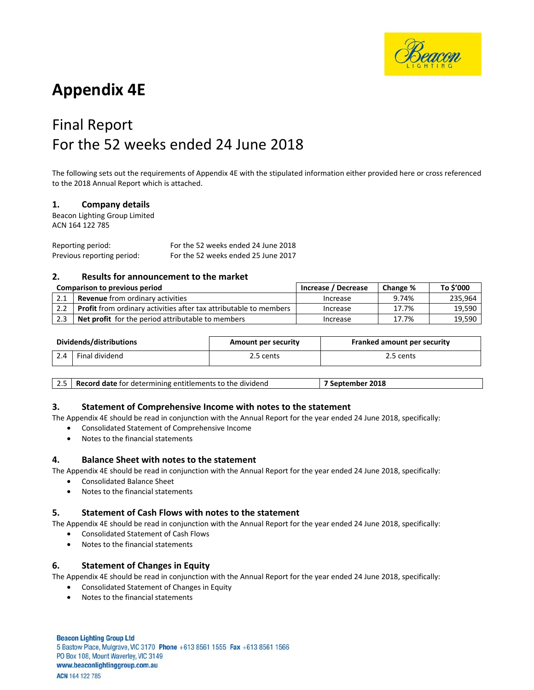

# **Appendix 4E**

# Final Report For the 52 weeks ended 24 June 2018

The following sets out the requirements of Appendix 4E with the stipulated information either provided here or cross referenced to the 2018 Annual Report which is attached.

#### **1. Company details**

Beacon Lighting Group Limited ACN 164 122 785

Reporting period: For the 52 weeks ended 24 June 2018 Previous reporting period: For the 52 weeks ended 25 June 2017

#### **2. Results for announcement to the market**

| Comparison to previous period |                                                                          | Increase / Decrease | Change % | To \$'000 |
|-------------------------------|--------------------------------------------------------------------------|---------------------|----------|-----------|
|                               | <b>Revenue</b> from ordinary activities                                  | Increase            | 9.74%    | 235.964   |
| 2.2                           | <b>Profit</b> from ordinary activities after tax attributable to members | Increase            | 17.7%    | 19,590    |
| 2.3                           | <b>Net profit</b> for the period attributable to members                 | Increase            | 17.7%    | 19,590    |

| Dividends/distributions |                | Amount per security | Franked amount per security |  |
|-------------------------|----------------|---------------------|-----------------------------|--|
|                         | Final dividend | 2.5 cents           | 2.5 cents                   |  |

| 2.5   Record date for determining entitlements to the dividend<br>7 September 2018 |
|------------------------------------------------------------------------------------|
|------------------------------------------------------------------------------------|

#### **3. Statement of Comprehensive Income with notes to the statement**

The Appendix 4E should be read in conjunction with the Annual Report for the year ended 24 June 2018, specifically:

- Consolidated Statement of Comprehensive Income
- Notes to the financial statements

#### **4. Balance Sheet with notes to the statement**

The Appendix 4E should be read in conjunction with the Annual Report for the year ended 24 June 2018, specifically:

- Consolidated Balance Sheet
	- Notes to the financial statements

#### **5. Statement of Cash Flows with notes to the statement**

The Appendix 4E should be read in conjunction with the Annual Report for the year ended 24 June 2018, specifically:

- Consolidated Statement of Cash Flows
- Notes to the financial statements

#### **6. Statement of Changes in Equity**

The Appendix 4E should be read in conjunction with the Annual Report for the year ended 24 June 2018, specifically:

- Consolidated Statement of Changes in Equity
- Notes to the financial statements

**Beacon Lighting Group Ltd** 5 Bastow Place, Mulgrave, VIC 3170 Phone +613 8561 1555 Fax +613 8561 1566 PO Box 108, Mount Waverley, VIC 3149 www.beaconlightinggroup.com.au ACN 164 122 785